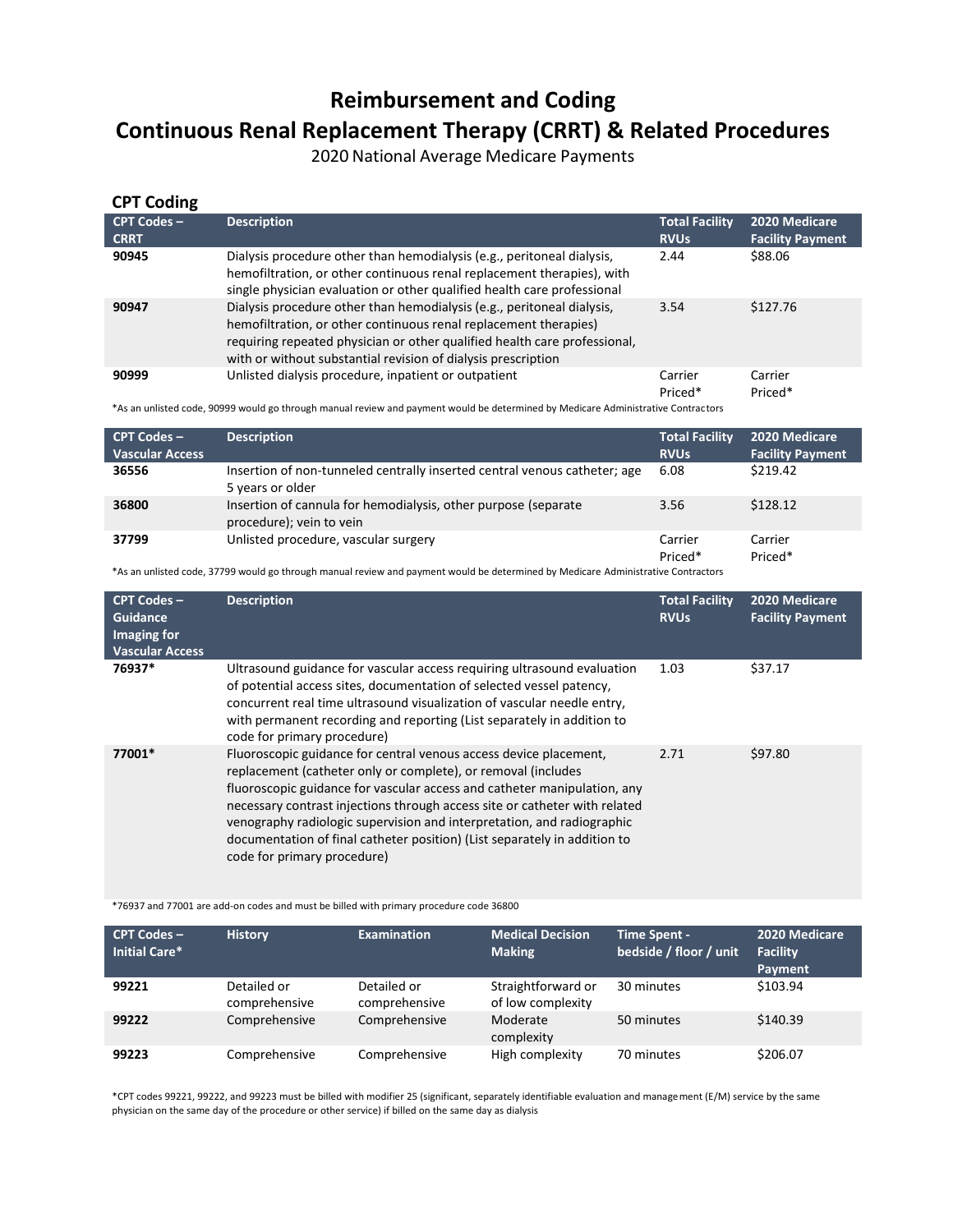# **Reimbursement and Coding Continuous Renal Replacement Therapy (CRRT) & Related Procedures**

2020 National Average Medicare Payments

| <b>CPT Coding</b>                                                                                                                 |                                                                                                                                                                                                                                                                                          |                        |                         |  |
|-----------------------------------------------------------------------------------------------------------------------------------|------------------------------------------------------------------------------------------------------------------------------------------------------------------------------------------------------------------------------------------------------------------------------------------|------------------------|-------------------------|--|
| <b>CPT Codes -</b>                                                                                                                | <b>Description</b>                                                                                                                                                                                                                                                                       | <b>Total Facility</b>  | 2020 Medicare           |  |
| <b>CRRT</b>                                                                                                                       |                                                                                                                                                                                                                                                                                          | <b>RVU<sub>s</sub></b> | <b>Facility Payment</b> |  |
| 90945                                                                                                                             | Dialysis procedure other than hemodialysis (e.g., peritoneal dialysis,<br>hemofiltration, or other continuous renal replacement therapies), with<br>single physician evaluation or other qualified health care professional                                                              | 2.44                   | \$88.06                 |  |
| 90947                                                                                                                             | Dialysis procedure other than hemodialysis (e.g., peritoneal dialysis,<br>hemofiltration, or other continuous renal replacement therapies)<br>requiring repeated physician or other qualified health care professional,<br>with or without substantial revision of dialysis prescription | 3.54                   | \$127.76                |  |
| 90999                                                                                                                             | Unlisted dialysis procedure, inpatient or outpatient                                                                                                                                                                                                                                     | Carrier<br>Priced*     | Carrier<br>Priced*      |  |
| *As an unlisted code, 90999 would go through manual review and payment would be determined by Medicare Administrative Contractors |                                                                                                                                                                                                                                                                                          |                        |                         |  |

**CPT Codes – Vascular Access Description Total Facility RVUs 2020 Medicare Facility Payment 36556** Insertion of non-tunneled centrally inserted central venous catheter; age 5 years or older 6.08 \$219.42

|       | <b>U</b> VCUIJ UI UIUCI                                                                    |                    |                    |
|-------|--------------------------------------------------------------------------------------------|--------------------|--------------------|
| 36800 | Insertion of cannula for hemodialysis, other purpose (separate<br>procedure); vein to vein | 3.56               | \$128.12           |
| 37799 | Unlisted procedure, vascular surgery                                                       | Carrier<br>Priced* | Carrier<br>Priced* |

\*As an unlisted code, 37799 would go through manual review and payment would be determined by Medicare Administrative Contractors

| <b>CPT Codes -</b><br>Guidance<br>Imaging for<br><b>Vascular Access</b> | <b>Description</b>                                                                                                                                                                                                                                                                                                                                                                                                                                                                 | <b>Total Facility</b><br><b>RVUs</b> | 2020 Medicare<br><b>Facility Payment</b> |
|-------------------------------------------------------------------------|------------------------------------------------------------------------------------------------------------------------------------------------------------------------------------------------------------------------------------------------------------------------------------------------------------------------------------------------------------------------------------------------------------------------------------------------------------------------------------|--------------------------------------|------------------------------------------|
| 76937*                                                                  | Ultrasound guidance for vascular access requiring ultrasound evaluation<br>of potential access sites, documentation of selected vessel patency,<br>concurrent real time ultrasound visualization of vascular needle entry.<br>with permanent recording and reporting (List separately in addition to<br>code for primary procedure)                                                                                                                                                | 1.03                                 | \$37.17                                  |
| 77001*                                                                  | Fluoroscopic guidance for central venous access device placement,<br>replacement (catheter only or complete), or removal (includes<br>fluoroscopic guidance for vascular access and catheter manipulation, any<br>necessary contrast injections through access site or catheter with related<br>venography radiologic supervision and interpretation, and radiographic<br>documentation of final catheter position) (List separately in addition to<br>code for primary procedure) | 2.71                                 | \$97.80                                  |

\*76937 and 77001 are add-on codes and must be billed with primary procedure code 36800

| $CPT$ Codes $-$<br>Initial Care* | <b>History</b>               | <b>Examination</b>           | <b>Medical Decision</b><br><b>Making</b> | <b>Time Spent -</b><br>bedside / floor / unit | 2020 Medicare<br><b>Facility</b><br>Payment |
|----------------------------------|------------------------------|------------------------------|------------------------------------------|-----------------------------------------------|---------------------------------------------|
| 99221                            | Detailed or<br>comprehensive | Detailed or<br>comprehensive | Straightforward or<br>of low complexity  | 30 minutes                                    | \$103.94                                    |
| 99222                            | Comprehensive                | Comprehensive                | Moderate<br>complexity                   | 50 minutes                                    | \$140.39                                    |
| 99223                            | Comprehensive                | Comprehensive                | High complexity                          | 70 minutes                                    | \$206.07                                    |

\*CPT codes 99221, 99222, and 99223 must be billed with modifier 25 (significant, separately identifiable evaluation and management (E/M) service by the same physician on the same day of the procedure or other service) if billed on the same day as dialysis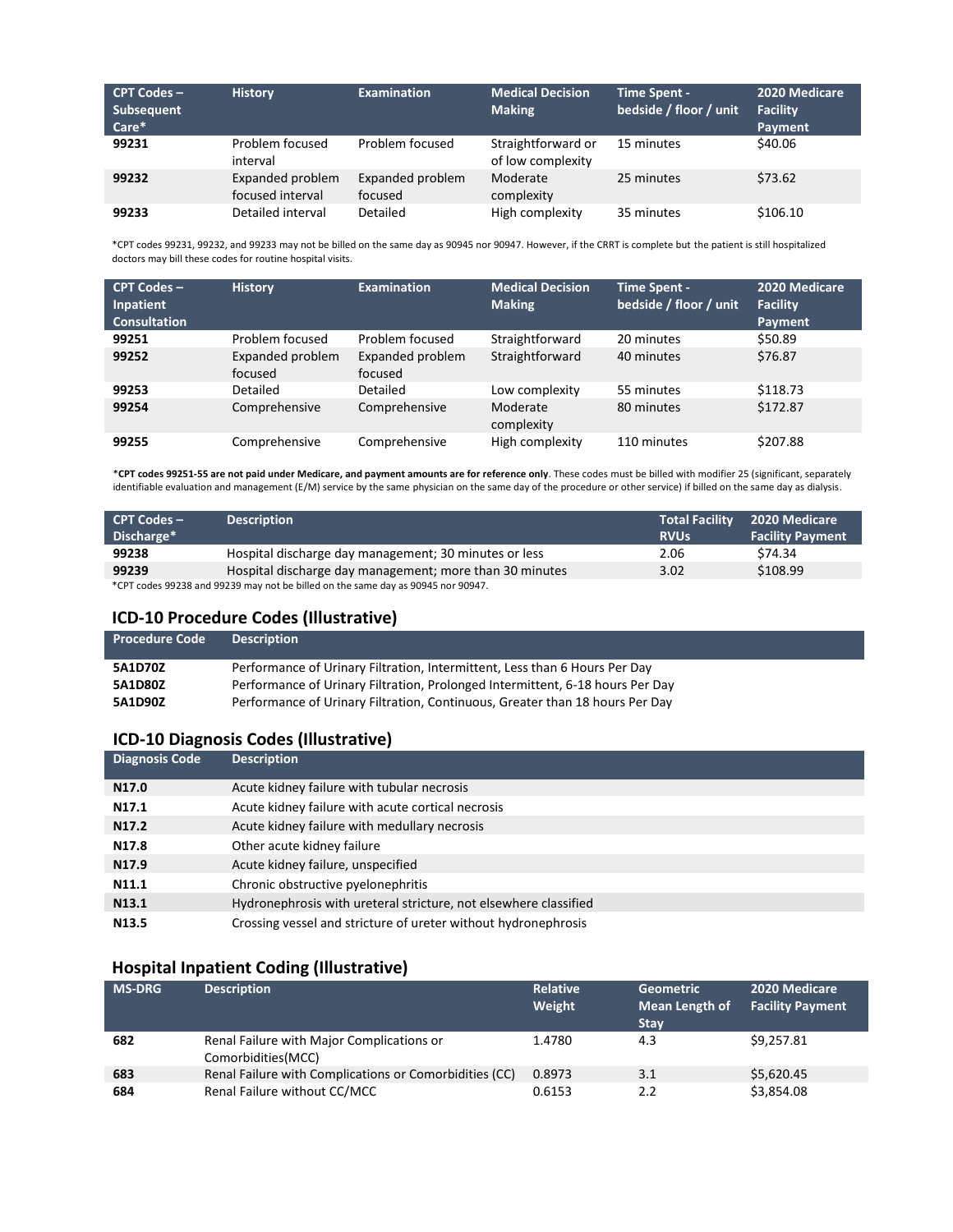| $CPT$ Codes $-$<br>Subsequent<br>Care* | <b>History</b>                       | <b>Examination</b>          | <b>Medical Decision</b><br><b>Making</b> | Time Spent -<br>bedside / floor / unit | 2020 Medicare<br><b>Facility</b><br>Payment |
|----------------------------------------|--------------------------------------|-----------------------------|------------------------------------------|----------------------------------------|---------------------------------------------|
| 99231                                  | Problem focused<br>interval          | Problem focused             | Straightforward or<br>of low complexity  | 15 minutes                             | \$40.06                                     |
| 99232                                  | Expanded problem<br>focused interval | Expanded problem<br>focused | Moderate<br>complexity                   | 25 minutes                             | \$73.62                                     |
| 99233                                  | Detailed interval                    | Detailed                    | High complexity                          | 35 minutes                             | \$106.10                                    |

\*CPT codes 99231, 99232, and 99233 may not be billed on the same day as 90945 nor 90947. However, if the CRRT is complete but the patient is still hospitalized doctors may bill these codes for routine hospital visits.

| <b>CPT Codes -</b><br>Inpatient<br><b>Consultation</b> | <b>History</b>              | <b>Examination</b>          | <b>Medical Decision</b><br><b>Making</b> | <b>Time Spent -</b><br>bedside / floor / unit | 2020 Medicare<br><b>Facility</b><br>Payment |
|--------------------------------------------------------|-----------------------------|-----------------------------|------------------------------------------|-----------------------------------------------|---------------------------------------------|
| 99251                                                  | Problem focused             | Problem focused             | Straightforward                          | 20 minutes                                    | \$50.89                                     |
| 99252                                                  | Expanded problem<br>focused | Expanded problem<br>focused | Straightforward                          | 40 minutes                                    | \$76.87                                     |
| 99253                                                  | Detailed                    | Detailed                    | Low complexity                           | 55 minutes                                    | \$118.73                                    |
| 99254                                                  | Comprehensive               | Comprehensive               | Moderate<br>complexity                   | 80 minutes                                    | \$172.87                                    |
| 99255                                                  | Comprehensive               | Comprehensive               | High complexity                          | 110 minutes                                   | \$207.88                                    |

\***CPT codes 99251-55 are not paid under Medicare, and payment amounts are for reference only**. These codes must be billed with modifier 25 (significant, separately identifiable evaluation and management (E/M) service by the same physician on the same day of the procedure or other service) if billed on the same day as dialysis.

| $CPT Codes -$<br>Discharge*                                                      | <b>Description</b>                                      | <b>Total Facility</b><br><b>RVUs</b> | 2020 Medicare<br><b>Facility Payment</b> |  |
|----------------------------------------------------------------------------------|---------------------------------------------------------|--------------------------------------|------------------------------------------|--|
| 99238                                                                            | Hospital discharge day management; 30 minutes or less   | 2.06                                 | \$74.34                                  |  |
| 99239                                                                            | Hospital discharge day management; more than 30 minutes | 3.02                                 | \$108.99                                 |  |
| *CPT codes 99238 and 99239 may not be billed on the same day as 90945 nor 90947. |                                                         |                                      |                                          |  |

### **ICD-10 Procedure Codes (Illustrative)**

| <b>Procedure Code</b> | <b>Description</b>                                                            |
|-----------------------|-------------------------------------------------------------------------------|
| 5A1D70Z               | Performance of Urinary Filtration, Intermittent, Less than 6 Hours Per Day    |
| 5A1D80Z               | Performance of Urinary Filtration, Prolonged Intermittent, 6-18 hours Per Day |
| 5A1D90Z               | Performance of Urinary Filtration, Continuous, Greater than 18 hours Per Day  |

## **ICD-10 Diagnosis Codes (Illustrative)**

| <b>Diagnosis Code</b> | <b>Description</b>                                               |
|-----------------------|------------------------------------------------------------------|
| N <sub>17.0</sub>     | Acute kidney failure with tubular necrosis                       |
| N <sub>17.1</sub>     | Acute kidney failure with acute cortical necrosis                |
| N <sub>17.2</sub>     | Acute kidney failure with medullary necrosis                     |
| N <sub>17.8</sub>     | Other acute kidney failure                                       |
| N <sub>17.9</sub>     | Acute kidney failure, unspecified                                |
| N11.1                 | Chronic obstructive pyelonephritis                               |
| N <sub>13.1</sub>     | Hydronephrosis with ureteral stricture, not elsewhere classified |
| N <sub>13.5</sub>     | Crossing vessel and stricture of ureter without hydronephrosis   |

### **Hospital Inpatient Coding (Illustrative)**

| <b>MS-DRG</b> | <b>Description</b>                                               | Relative<br>Weight | <b>Geometric</b><br><b>Mean Length of</b><br><b>Stay</b> | 2020 Medicare<br><b>Facility Payment</b> |
|---------------|------------------------------------------------------------------|--------------------|----------------------------------------------------------|------------------------------------------|
| 682           | Renal Failure with Major Complications or<br>Comorbidities (MCC) | 1.4780             | 4.3                                                      | \$9,257.81                               |
| 683           | Renal Failure with Complications or Comorbidities (CC)           | 0.8973             | 3.1                                                      | \$5,620.45                               |
| 684           | Renal Failure without CC/MCC                                     | 0.6153             | 2.2                                                      | \$3,854.08                               |